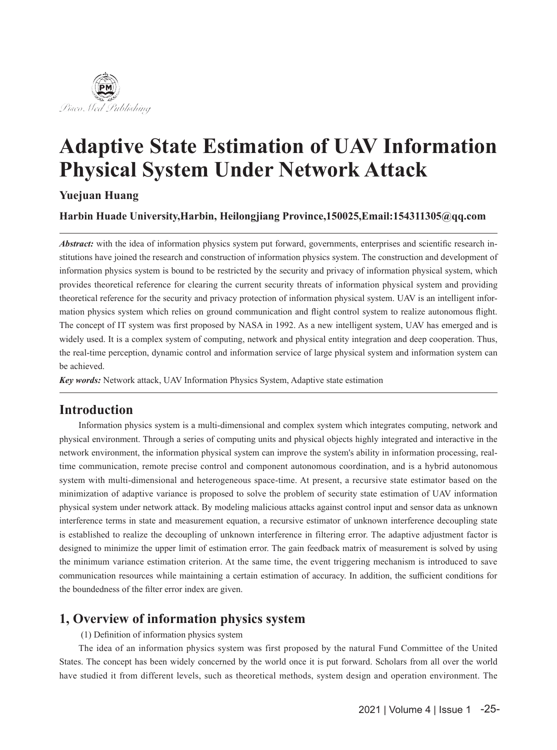

# **Adaptive State Estimation of UAV Information Physical System Under Network Attack**

**Yuejuan Huang**

**Harbin Huade University,Harbin, Heilongjiang Province,150025,Email:154311305@qq.com**

*Abstract:* with the idea of information physics system put forward, governments, enterprises and scientific research institutions have joined the research and construction of information physics system. The construction and development of information physics system is bound to be restricted by the security and privacy of information physical system, which provides theoretical reference for clearing the current security threats of information physical system and providing theoretical reference for the security and privacy protection of information physical system. UAV is an intelligent information physics system which relies on ground communication and flight control system to realize autonomous flight. The concept of IT system was first proposed by NASA in 1992. As a new intelligent system, UAV has emerged and is widely used. It is a complex system of computing, network and physical entity integration and deep cooperation. Thus, the real-time perception, dynamic control and information service of large physical system and information system can be achieved.

*Key words:* Network attack, UAV Information Physics System, Adaptive state estimation

# **Introduction**

Information physics system is a multi-dimensional and complex system which integrates computing, network and physical environment. Through a series of computing units and physical objects highly integrated and interactive in the network environment, the information physical system can improve the system's ability in information processing, realtime communication, remote precise control and component autonomous coordination, and is a hybrid autonomous system with multi-dimensional and heterogeneous space-time. At present, a recursive state estimator based on the minimization of adaptive variance is proposed to solve the problem of security state estimation of UAV information physical system under network attack. By modeling malicious attacks against control input and sensor data as unknown interference terms in state and measurement equation, a recursive estimator of unknown interference decoupling state is established to realize the decoupling of unknown interference in filtering error. The adaptive adjustment factor is designed to minimize the upper limit of estimation error. The gain feedback matrix of measurement is solved by using the minimum variance estimation criterion. At the same time, the event triggering mechanism is introduced to save communication resources while maintaining a certain estimation of accuracy. In addition, the sufficient conditions for the boundedness of the filter error index are given.

# **1, Overview of information physics system**

(1) Definition of information physics system

The idea of an information physics system was first proposed by the natural Fund Committee of the United States. The concept has been widely concerned by the world once it is put forward. Scholars from all over the world have studied it from different levels, such as theoretical methods, system design and operation environment. The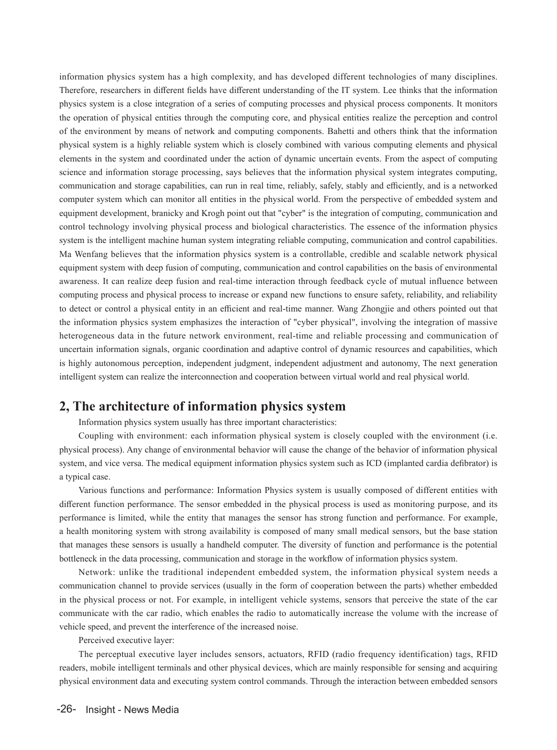information physics system has a high complexity, and has developed different technologies of many disciplines. Therefore, researchers in different fields have different understanding of the IT system. Lee thinks that the information physics system is a close integration of a series of computing processes and physical process components. It monitors the operation of physical entities through the computing core, and physical entities realize the perception and control of the environment by means of network and computing components. Bahetti and others think that the information physical system is a highly reliable system which is closely combined with various computing elements and physical elements in the system and coordinated under the action of dynamic uncertain events. From the aspect of computing science and information storage processing, says believes that the information physical system integrates computing, communication and storage capabilities, can run in real time, reliably, safely, stably and efficiently, and is a networked computer system which can monitor all entities in the physical world. From the perspective of embedded system and equipment development, branicky and Krogh point out that "cyber" is the integration of computing, communication and control technology involving physical process and biological characteristics. The essence of the information physics system is the intelligent machine human system integrating reliable computing, communication and control capabilities. Ma Wenfang believes that the information physics system is a controllable, credible and scalable network physical equipment system with deep fusion of computing, communication and control capabilities on the basis of environmental awareness. It can realize deep fusion and real-time interaction through feedback cycle of mutual influence between computing process and physical process to increase or expand new functions to ensure safety, reliability, and reliability to detect or control a physical entity in an efficient and real-time manner. Wang Zhongjie and others pointed out that the information physics system emphasizes the interaction of "cyber physical", involving the integration of massive heterogeneous data in the future network environment, real-time and reliable processing and communication of uncertain information signals, organic coordination and adaptive control of dynamic resources and capabilities, which is highly autonomous perception, independent judgment, independent adjustment and autonomy, The next generation intelligent system can realize the interconnection and cooperation between virtual world and real physical world.

### **2, The architecture of information physics system**

Information physics system usually has three important characteristics:

Coupling with environment: each information physical system is closely coupled with the environment (i.e. physical process). Any change of environmental behavior will cause the change of the behavior of information physical system, and vice versa. The medical equipment information physics system such as ICD (implanted cardia defibrator) is a typical case.

Various functions and performance: Information Physics system is usually composed of different entities with different function performance. The sensor embedded in the physical process is used as monitoring purpose, and its performance is limited, while the entity that manages the sensor has strong function and performance. For example, a health monitoring system with strong availability is composed of many small medical sensors, but the base station that manages these sensors is usually a handheld computer. The diversity of function and performance is the potential bottleneck in the data processing, communication and storage in the workflow of information physics system.

Network: unlike the traditional independent embedded system, the information physical system needs a communication channel to provide services (usually in the form of cooperation between the parts) whether embedded in the physical process or not. For example, in intelligent vehicle systems, sensors that perceive the state of the car communicate with the car radio, which enables the radio to automatically increase the volume with the increase of vehicle speed, and prevent the interference of the increased noise.

Perceived executive layer:

The perceptual executive layer includes sensors, actuators, RFID (radio frequency identification) tags, RFID readers, mobile intelligent terminals and other physical devices, which are mainly responsible for sensing and acquiring physical environment data and executing system control commands. Through the interaction between embedded sensors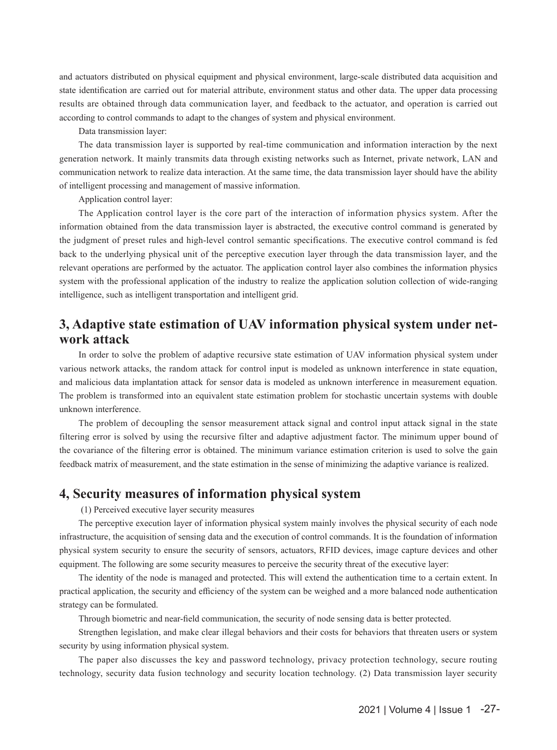and actuators distributed on physical equipment and physical environment, large-scale distributed data acquisition and state identification are carried out for material attribute, environment status and other data. The upper data processing results are obtained through data communication layer, and feedback to the actuator, and operation is carried out according to control commands to adapt to the changes of system and physical environment.

Data transmission layer:

The data transmission layer is supported by real-time communication and information interaction by the next generation network. It mainly transmits data through existing networks such as Internet, private network, LAN and communication network to realize data interaction. At the same time, the data transmission layer should have the ability of intelligent processing and management of massive information.

Application control layer:

The Application control layer is the core part of the interaction of information physics system. After the information obtained from the data transmission layer is abstracted, the executive control command is generated by the judgment of preset rules and high-level control semantic specifications. The executive control command is fed back to the underlying physical unit of the perceptive execution layer through the data transmission layer, and the relevant operations are performed by the actuator. The application control layer also combines the information physics system with the professional application of the industry to realize the application solution collection of wide-ranging intelligence, such as intelligent transportation and intelligent grid.

## **3, Adaptive state estimation of UAV information physical system under network attack**

In order to solve the problem of adaptive recursive state estimation of UAV information physical system under various network attacks, the random attack for control input is modeled as unknown interference in state equation, and malicious data implantation attack for sensor data is modeled as unknown interference in measurement equation. The problem is transformed into an equivalent state estimation problem for stochastic uncertain systems with double unknown interference.

The problem of decoupling the sensor measurement attack signal and control input attack signal in the state filtering error is solved by using the recursive filter and adaptive adjustment factor. The minimum upper bound of the covariance of the filtering error is obtained. The minimum variance estimation criterion is used to solve the gain feedback matrix of measurement, and the state estimation in the sense of minimizing the adaptive variance is realized.

#### **4, Security measures of information physical system**

(1) Perceived executive layer security measures

The perceptive execution layer of information physical system mainly involves the physical security of each node infrastructure, the acquisition of sensing data and the execution of control commands. It is the foundation of information physical system security to ensure the security of sensors, actuators, RFID devices, image capture devices and other equipment. The following are some security measures to perceive the security threat of the executive layer:

The identity of the node is managed and protected. This will extend the authentication time to a certain extent. In practical application, the security and efficiency of the system can be weighed and a more balanced node authentication strategy can be formulated.

Through biometric and near-field communication, the security of node sensing data is better protected.

Strengthen legislation, and make clear illegal behaviors and their costs for behaviors that threaten users or system security by using information physical system.

The paper also discusses the key and password technology, privacy protection technology, secure routing technology, security data fusion technology and security location technology. (2) Data transmission layer security